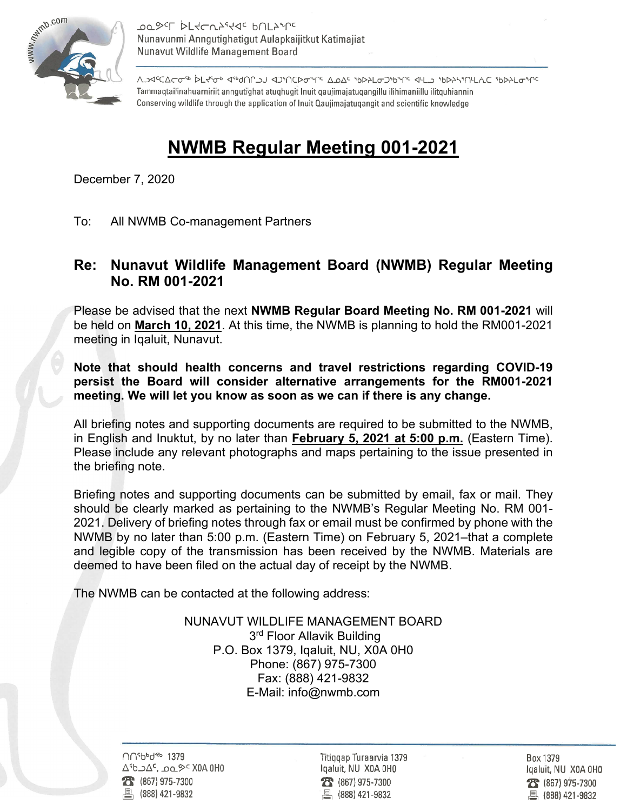

**POSEL DEACUSERE PULSALE** Nunavunmi Anngutighatigut Aulapkaijitkut Katimajiat Nunavut Wildlife Management Board

᠕ᠫᢦᡕ᠌ᢕᢗᢁᡕ᠉ᢩᢂᡑᢂ᠉ᡉᢞᢤᢂ᠐᠘᠑᠕᠂᠕᠉ᡍ᠅᠕ᠪ᠘᠀᠂᠑ᢂᡔ᠓᠅᠐ᢂ᠅ᠾ᠈᠅᠗ᢣ᠅᠓᠅᠗ᢣ᠑ᡔ᠙᠘ Tammaqtailinahuarniriit anngutighat atuqhugit Inuit qaujimajatuqangillu ilihimaniillu ilitquhiannin Conserving wildlife through the application of Inuit Qaujimajatugangit and scientific knowledge

## **NWMB Regular Meeting 001-2021**

December 7, 2020

To: All NWMB Co-management Partners

## **Re: Nunavut Wildlife Management Board (NWMB) Regular Meeting No. RM 001-2021**

Please be advised that the next **NWMB Regular Board Meeting No. RM 001-2021** will be held on **March 10, 2021**. At this time, the NWMB is planning to hold the RM001-2021 meeting in Iqaluit, Nunavut.

**Note that should health concerns and travel restrictions regarding COVID-19 persist the Board will consider alternative arrangements for the RM001-2021 meeting. We will let you know as soon as we can if there is any change.**

All briefing notes and supporting documents are required to be submitted to the NWMB, in English and Inuktut, by no later than **February 5, 2021 at 5:00 p.m.** (Eastern Time). Please include any relevant photographs and maps pertaining to the issue presented in the briefing note.

Briefing notes and supporting documents can be submitted by email, fax or mail. They should be clearly marked as pertaining to the NWMB's Regular Meeting No. RM 001- 2021. Delivery of briefing notes through fax or email must be confirmed by phone with the NWMB by no later than 5:00 p.m. (Eastern Time) on February 5, 2021–that a complete and legible copy of the transmission has been received by the NWMB. Materials are deemed to have been filed on the actual day of receipt by the NWMB.

The NWMB can be contacted at the following address:

NUNAVUT WILDLIFE MANAGEMENT BOARD 3<sup>rd</sup> Floor Allavik Building P.O. Box 1379, Iqaluit, NU, X0A 0H0 Phone: (867) 975-7300 Fax: (888) 421-9832 E-Mail: info@nwmb.com

∩∩<sup>5</sup>bbd<sup>eb</sup> 1379 ∆<sup>6</sup>b בסם, 2∆כ (867) 975-7300 (888) 421-9832

Titiggap Turaarvia 1379 Igaluit, NU X0A 0H0  $23 (867) 975 - 7300$ 凰 (888) 421-9832

Box 1379 Igaluit, NU X0A 0H0 28 (867) 975-7300 ■ (888) 421-9832